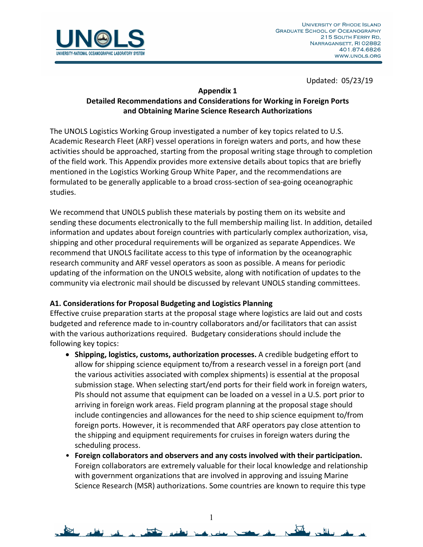

#### **Appendix 1**

# **Detailed Recommendations and Considerations for Working in Foreign Ports and Obtaining Marine Science Research Authorizations**

The UNOLS Logistics Working Group investigated a number of key topics related to U.S. Academic Research Fleet (ARF) vessel operations in foreign waters and ports, and how these activities should be approached, starting from the proposal writing stage through to completion of the field work. This Appendix provides more extensive details about topics that are briefly mentioned in the Logistics Working Group White Paper, and the recommendations are formulated to be generally applicable to a broad cross-section of sea-going oceanographic studies.

We recommend that UNOLS publish these materials by posting them on its website and sending these documents electronically to the full membership mailing list. In addition, detailed information and updates about foreign countries with particularly complex authorization, visa, shipping and other procedural requirements will be organized as separate Appendices. We recommend that UNOLS facilitate access to this type of information by the oceanographic research community and ARF vessel operators as soon as possible. A means for periodic updating of the information on the UNOLS website, along with notification of updates to the community via electronic mail should be discussed by relevant UNOLS standing committees.

## **A1. Considerations for Proposal Budgeting and Logistics Planning**

Effective cruise preparation starts at the proposal stage where logistics are laid out and costs budgeted and reference made to in-country collaborators and/or facilitators that can assist with the various authorizations required. Budgetary considerations should include the following key topics:

- **Shipping, logistics, customs, authorization processes.** A credible budgeting effort to allow for shipping science equipment to/from a research vessel in a foreign port (and the various activities associated with complex shipments) is essential at the proposal submission stage. When selecting start/end ports for their field work in foreign waters, PIs should not assume that equipment can be loaded on a vessel in a U.S. port prior to arriving in foreign work areas. Field program planning at the proposal stage should include contingencies and allowances for the need to ship science equipment to/from foreign ports. However, it is recommended that ARF operators pay close attention to the shipping and equipment requirements for cruises in foreign waters during the scheduling process.
- **Foreign collaborators and observers and any costs involved with their participation.** Foreign collaborators are extremely valuable for their local knowledge and relationship with government organizations that are involved in approving and issuing Marine Science Research (MSR) authorizations. Some countries are known to require this type

1

 $\Delta t$ 

. 비..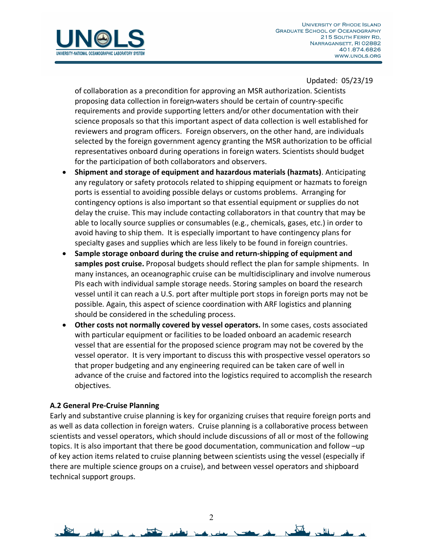

of collaboration as a precondition for approving an MSR authorization. Scientists proposing data collection in foreign waters should be certain of country-specific requirements and provide supporting letters and/or other documentation with their science proposals so that this important aspect of data collection is well established for reviewers and program officers. Foreign observers, on the other hand, are individuals selected by the foreign government agency granting the MSR authorization to be official representatives onboard during operations in foreign waters. Scientists should budget for the participation of both collaborators and observers.

- **Shipment and storage of equipment and hazardous materials (hazmats)**. Anticipating any regulatory or safety protocols related to shipping equipment or hazmats to foreign ports is essential to avoiding possible delays or customs problems. Arranging for contingency options is also important so that essential equipment or supplies do not delay the cruise. This may include contacting collaborators in that country that may be able to locally source supplies or consumables (e.g., chemicals, gases, etc.) in order to avoid having to ship them. It is especially important to have contingency plans for specialty gases and supplies which are less likely to be found in foreign countries.
- **Sample storage onboard during the cruise and return-shipping of equipment and samples post cruise.** Proposal budgets should reflect the plan for sample shipments. In many instances, an oceanographic cruise can be multidisciplinary and involve numerous PIs each with individual sample storage needs. Storing samples on board the research vessel until it can reach a U.S. port after multiple port stops in foreign ports may not be possible. Again, this aspect of science coordination with ARF logistics and planning should be considered in the scheduling process.
- **Other costs not normally covered by vessel operators.** In some cases, costs associated with particular equipment or facilities to be loaded onboard an academic research vessel that are essential for the proposed science program may not be covered by the vessel operator. It is very important to discuss this with prospective vessel operators so that proper budgeting and any engineering required can be taken care of well in advance of the cruise and factored into the logistics required to accomplish the research objectives.

## **A.2 General Pre-Cruise Planning**

Early and substantive cruise planning is key for organizing cruises that require foreign ports and as well as data collection in foreign waters. Cruise planning is a collaborative process between scientists and vessel operators, which should include discussions of all or most of the following topics. It is also important that there be good documentation, communication and follow –up of key action items related to cruise planning between scientists using the vessel (especially if there are multiple science groups on a cruise), and between vessel operators and shipboard technical support groups.

 $\Delta t$ 

缸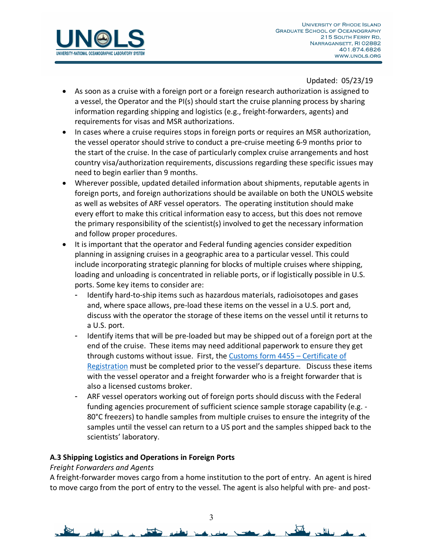

- As soon as a cruise with a foreign port or a foreign research authorization is assigned to a vessel, the Operator and the PI(s) should start the cruise planning process by sharing information regarding shipping and logistics (e.g., freight-forwarders, agents) and requirements for visas and MSR authorizations.
- In cases where a cruise requires stops in foreign ports or requires an MSR authorization, the vessel operator should strive to conduct a pre-cruise meeting 6-9 months prior to the start of the cruise. In the case of particularly complex cruise arrangements and host country visa/authorization requirements, discussions regarding these specific issues may need to begin earlier than 9 months.
- Wherever possible, updated detailed information about shipments, reputable agents in foreign ports, and foreign authorizations should be available on both the UNOLS website as well as websites of ARF vessel operators. The operating institution should make every effort to make this critical information easy to access, but this does not remove the primary responsibility of the scientist(s) involved to get the necessary information and follow proper procedures.
- It is important that the operator and Federal funding agencies consider expedition planning in assigning cruises in a geographic area to a particular vessel. This could include incorporating strategic planning for blocks of multiple cruises where shipping, loading and unloading is concentrated in reliable ports, or if logistically possible in U.S. ports. Some key items to consider are:
	- Identify hard-to-ship items such as hazardous materials, radioisotopes and gases and, where space allows, pre-load these items on the vessel in a U.S. port and, discuss with the operator the storage of these items on the vessel until it returns to a U.S. port.
	- Identify items that will be pre-loaded but may be shipped out of a foreign port at the end of the cruise. These items may need additional paperwork to ensure they get through customs without issue. First, the Customs form 4455 – Certificate of Registration must be completed prior to the vessel's departure. Discuss these items with the vessel operator and a freight forwarder who is a freight forwarder that is also a licensed customs broker.
	- ARF vessel operators working out of foreign ports should discuss with the Federal funding agencies procurement of sufficient science sample storage capability (e.g. - 80°C freezers) to handle samples from multiple cruises to ensure the integrity of the samples until the vessel can return to a US port and the samples shipped back to the scientists' laboratory.

## **A.3 Shipping Logistics and Operations in Foreign Ports**

## *Freight Forwarders and Agents*

A freight-forwarder moves cargo from a home institution to the port of entry. An agent is hired to move cargo from the port of entry to the vessel. The agent is also helpful with pre- and post-

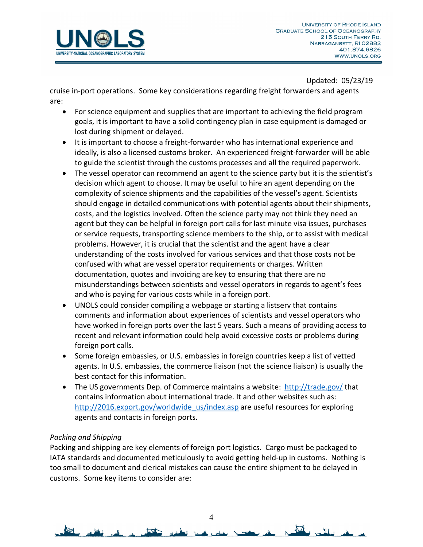

cruise in-port operations. Some key considerations regarding freight forwarders and agents are:

- For science equipment and supplies that are important to achieving the field program goals, it is important to have a solid contingency plan in case equipment is damaged or lost during shipment or delayed.
- It is important to choose a freight-forwarder who has international experience and ideally, is also a licensed customs broker. An experienced freight-forwarder will be able to guide the scientist through the customs processes and all the required paperwork.
- The vessel operator can recommend an agent to the science party but it is the scientist's decision which agent to choose. It may be useful to hire an agent depending on the complexity of science shipments and the capabilities of the vessel's agent. Scientists should engage in detailed communications with potential agents about their shipments, costs, and the logistics involved. Often the science party may not think they need an agent but they can be helpful in foreign port calls for last minute visa issues, purchases or service requests, transporting science members to the ship, or to assist with medical problems. However, it is crucial that the scientist and the agent have a clear understanding of the costs involved for various services and that those costs not be confused with what are vessel operator requirements or charges. Written documentation, quotes and invoicing are key to ensuring that there are no misunderstandings between scientists and vessel operators in regards to agent's fees and who is paying for various costs while in a foreign port.
- UNOLS could consider compiling a webpage or starting a listserv that contains comments and information about experiences of scientists and vessel operators who have worked in foreign ports over the last 5 years. Such a means of providing access to recent and relevant information could help avoid excessive costs or problems during foreign port calls.
- Some foreign embassies, or U.S. embassies in foreign countries keep a list of vetted agents. In U.S. embassies, the commerce liaison (not the science liaison) is usually the best contact for this information.
- The US governments Dep. of Commerce maintains a website: http://trade.gov/ that contains information about international trade. It and other websites such as: http://2016.export.gov/worldwide\_us/index.asp are useful resources for exploring agents and contacts in foreign ports.

## *Packing and Shipping*

Packing and shipping are key elements of foreign port logistics. Cargo must be packaged to IATA standards and documented meticulously to avoid getting held-up in customs. Nothing is too small to document and clerical mistakes can cause the entire shipment to be delayed in customs. Some key items to consider are:

 $\overline{\Delta}$ 

 $\mathbf{H}$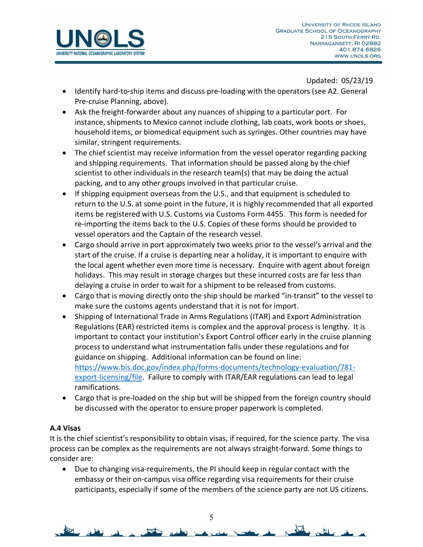

- Identify hard-to-ship items and discuss pre-loading with the operators (see A2. General Pre-cruise Planning, above).
- Ask the freight-forwarder about any nuances of shipping to a particular port. For instance, shipments to Mexico cannot include clothing, lab coats, work boots or shoes, household items, or biomedical equipment such as syringes. Other countries may have similar, stringent requirements.
- The chief scientist may receive information from the vessel operator regarding packing and shipping requirements. That information should be passed along by the chief scientist to other individuals in the research team(s) that may be doing the actual packing, and to any other groups involved in that particular cruise.
- If shipping equipment overseas from the U.S., and that equipment is scheduled to return to the U.S. at some point in the future, it is highly recommended that all exported items be registered with U.S. Customs via Customs Form 4455. This form is needed for re-importing the items back to the U.S. Copies of these forms should be provided to vessel operators and the Captain of the research vessel.
- Cargo should arrive in port approximately two weeks prior to the vessel's arrival and the start of the cruise. If a cruise is departing near a holiday, it is important to enquire with the local agent whether even more time is necessary. Enquire with agent about foreign holidays. This may result in storage charges but these incurred costs are far less than delaying a cruise in order to wait for a shipment to be released from customs.
- Cargo that is moving directly onto the ship should be marked "in-transit" to the vessel to make sure the customs agents understand that it is not for import.
- Shipping of International Trade in Arms Regulations (ITAR) and Export Administration Regulations (EAR) restricted items is complex and the approval process is lengthy. It is important to contact your institution's Export Control officer early in the cruise planning process to understand what instrumentation falls under these regulations and for guidance on shipping. Additional information can be found on line: https://www.bis.doc.gov/index.php/forms-documents/technology-evaluation/781 export-licensing/file. Failure to comply with ITAR/EAR regulations can lead to legal ramifications.
- Cargo that is pre-loaded on the ship but will be shipped from the foreign country should be discussed with the operator to ensure proper paperwork is completed.

## **A.4 Visas**

It is the chief scientist's responsibility to obtain visas, if required, for the science party. The visa process can be complex as the requirements are not always straight-forward. Some things to consider are:

• Due to changing visa-requirements, the PI should keep in regular contact with the embassy or their on-campus visa office regarding visa requirements for their cruise participants, especially if some of the members of the science party are not US citizens.

 $\overline{\mathbf{M}}$ 

 $\sim$   $\mu$